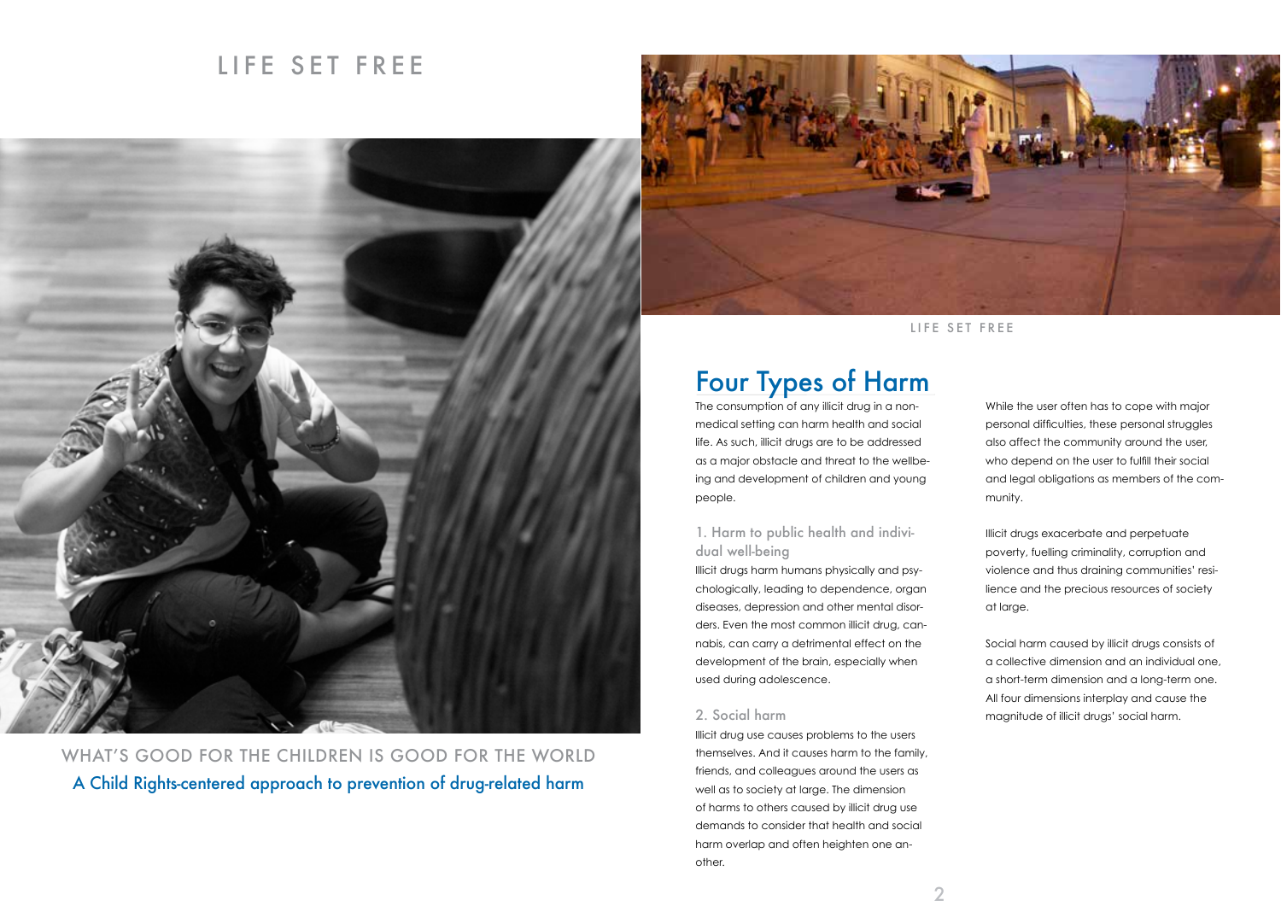## LIFE SET FREE



WHAT'S GOOD FOR THE CHILDREN IS GOOD FOR THE WORLD A Child Rights-centered approach to prevention of drug-related harm



LIFE SET FREE

## Four Types of Harm

The consumption of any illicit drug in a nonmedical setting can harm health and social life. As such, illicit drugs are to be addressed as a major obstacle and threat to the wellbeing and development of children and young people.

### 1. Harm to public health and individual well-being

Illicit drugs harm humans physically and psychologically, leading to dependence, organ diseases, depression and other mental disorders. Even the most common illicit drug, cannabis, can carry a detrimental effect on the development of the brain, especially when used during adolescence.

### 2. Social harm

Illicit drug use causes problems to the users themselves. And it causes harm to the family, friends, and colleagues around the users as well as to society at large. The dimension of harms to others caused by illicit drug use demands to consider that health and social harm overlap and often heighten one another.

While the user often has to cope with major personal difficulties, these personal struggles also affect the community around the user, who depend on the user to fulfill their social and legal obligations as members of the community.

Illicit drugs exacerbate and perpetuate poverty, fuelling criminality, corruption and violence and thus draining communities' resilience and the precious resources of society at large.

Social harm caused by illicit drugs consists of a collective dimension and an individual one, a short-term dimension and a long-term one. All four dimensions interplay and cause the magnitude of illicit drugs' social harm.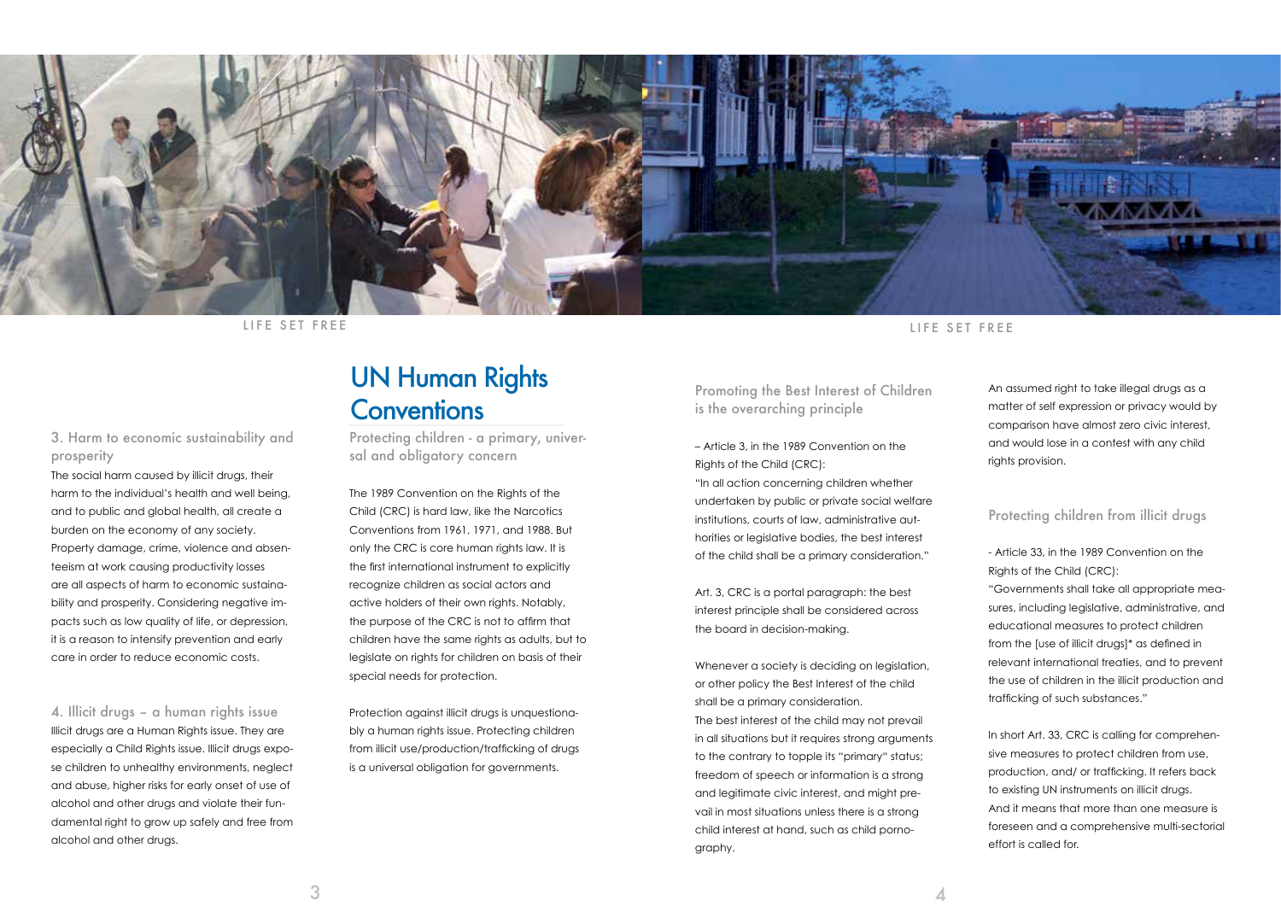

LIFE SET FREE

# UN Human Rights **Conventions**

Protecting children - a primary, universal and obligatory concern

The 1989 Convention on the Rights of the Child (CRC) is hard law, like the Narcotics Conventions from 1961, 1971, and 1988. But only the CRC is core human rights law. It is the first international instrument to explicitly recognize children as social actors and active holders of their own rights. Notably, the purpose of the CRC is not to affirm that children have the same rights as adults, but to legislate on rights for children on basis of their special needs for protection.

Protection against illicit drugs is unquestionably a human rights issue. Protecting children from illicit use/production/trafficking of drugs is a universal obligation for governments.

LIFE SET FREE

Promoting the Best Interest of Children is the overarching principle

– Article 3, in the 1989 Convention on the Rights of the Child (CRC):

"In all action concerning children whether undertaken by public or private social welfare institutions, courts of law, administrative authorities or legislative bodies, the best interest of the child shall be a primary consideration."

Art. 3, CRC is a portal paragraph: the best interest principle shall be considered across the board in decision-making.

Whenever a society is deciding on legislation, or other policy the Best Interest of the child shall be a primary consideration. The best interest of the child may not prevail in all situations but it requires strong arguments to the contrary to topple its "primary" status; freedom of speech or information is a strong and legitimate civic interest, and might prevail in most situations unless there is a strong child interest at hand, such as child pornography.

An assumed right to take illegal drugs as a matter of self expression or privacy would by comparison have almost zero civic interest, and would lose in a contest with any child rights provision.

### Protecting children from illicit drugs

- Article 33, in the 1989 Convention on the Rights of the Child (CRC):

"Governments shall take all appropriate measures, including legislative, administrative, and educational measures to protect children from the [use of illicit drugs]\* as defined in relevant international treaties, and to prevent the use of children in the illicit production and trafficking of such substances."

In short Art. 33, CRC is calling for comprehensive measures to protect children from use, production, and/ or trafficking. It refers back to existing UN instruments on illicit drugs. And it means that more than one measure is foreseen and a comprehensive multi-sectorial effort is called for.

## 3. Harm to economic sustainability and prosperity

The social harm caused by illicit drugs, their harm to the individual's health and well being, and to public and global health, all create a burden on the economy of any society. Property damage, crime, violence and absenteeism at work causing productivity losses are all aspects of harm to economic sustainability and prosperity. Considering negative impacts such as low quality of life, or depression, it is a reason to intensify prevention and early care in order to reduce economic costs.

4. Illicit drugs – a human rights issue Illicit drugs are a Human Rights issue. They are especially a Child Rights issue. Illicit drugs expose children to unhealthy environments, neglect and abuse, higher risks for early onset of use of alcohol and other drugs and violate their fundamental right to grow up safely and free from alcohol and other drugs.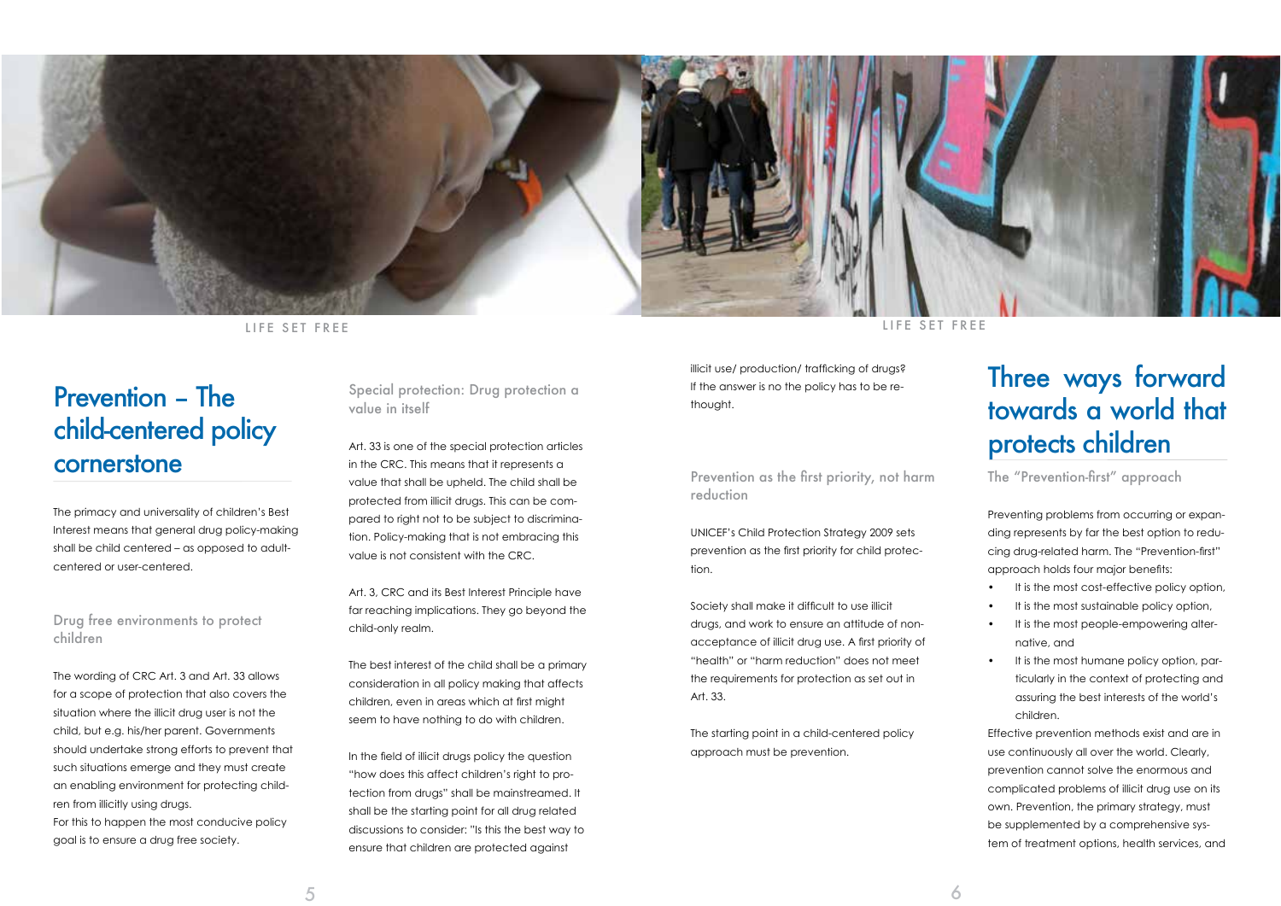

LIFE SET FREE

# Prevention – The child-centered policy cornerstone

The primacy and universality of children's Best Interest means that general drug policy-making shall be child centered – as opposed to adultcentered or user-centered.

### Drug free environments to protect children

The wording of CRC Art. 3 and Art. 33 allows for a scope of protection that also covers the situation where the illicit drug user is not the child, but e.g. his/her parent. Governments should undertake strong efforts to prevent that such situations emerge and they must create an enabling environment for protecting children from illicitly using drugs.

For this to happen the most conducive policy goal is to ensure a drug free society.

Special protection: Drug protection a value in itself

Art. 33 is one of the special protection articles in the CRC. This means that it represents a value that shall be upheld. The child shall be protected from illicit drugs. This can be compared to right not to be subject to discrimination. Policy-making that is not embracing this value is not consistent with the CRC.

Art. 3, CRC and its Best Interest Principle have far reaching implications. They go beyond the child-only realm.

The best interest of the child shall be a primary consideration in all policy making that affects children, even in areas which at first might seem to have nothing to do with children.

In the field of illicit drugs policy the question "how does this affect children's right to protection from drugs" shall be mainstreamed. It shall be the starting point for all drug related discussions to consider: "Is this the best way to ensure that children are protected against

LIFE SET FREE

illicit use/ production/ trafficking of drugs? If the answer is no the policy has to be rethought.

Prevention as the first priority, not harm reduction

UNICEF's Child Protection Strategy 2009 sets prevention as the first priority for child protection.

Society shall make it difficult to use illicit drugs, and work to ensure an attitude of nonacceptance of illicit drug use. A first priority of "health" or "harm reduction" does not meet the requirements for protection as set out in Art. 33.

The starting point in a child-centered policy approach must be prevention.

# Three ways forward towards a world that protects children

The "Prevention-first" approach

Preventing problems from occurring or expanding represents by far the best option to reducing drug-related harm. The "Prevention-first" approach holds four major benefits:

- It is the most cost-effective policy option,
- It is the most sustainable policy option,
- It is the most people-empowering alternative, and
- It is the most humane policy option, particularly in the context of protecting and assuring the best interests of the world's children.

Effective prevention methods exist and are in use continuously all over the world. Clearly, prevention cannot solve the enormous and complicated problems of illicit drug use on its own. Prevention, the primary strategy, must be supplemented by a comprehensive system of treatment options, health services, and